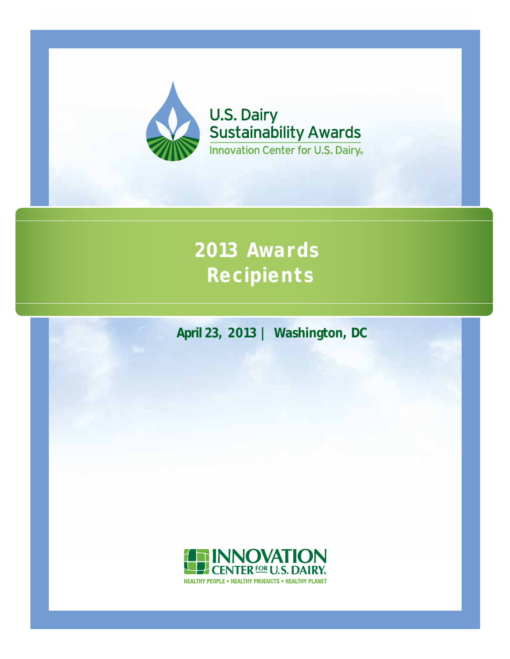

**U.S. Dairy<br>Sustainability Awards Innovation Center for U.S. Dairy** 

# **2013 Awards Recipients**

**April 23, 2013 | Washington, DC**

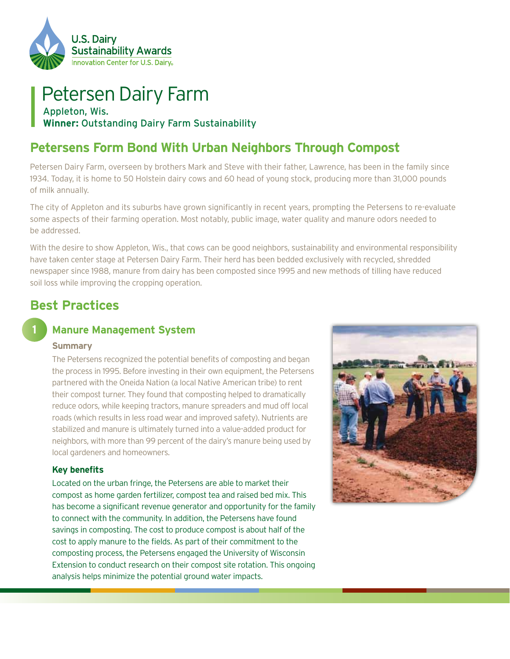

## Petersen Dairy Farm Appleton, Wis. **Winner:** Outstanding Dairy Farm Sustainability

# **Petersens Form Bond With Urban Neighbors Through Compost**

Petersen Dairy Farm, overseen by brothers Mark and Steve with their father, Lawrence, has been in the family since 1934. Today, it is home to 50 Holstein dairy cows and 60 head of young stock, producing more than 31,000 pounds of milk annually.

The city of Appleton and its suburbs have grown significantly in recent years, prompting the Petersens to re-evaluate some aspects of their farming operation. Most notably, public image, water quality and manure odors needed to be addressed.

With the desire to show Appleton, Wis., that cows can be good neighbors, sustainability and environmental responsibility have taken center stage at Petersen Dairy Farm. Their herd has been bedded exclusively with recycled, shredded newspaper since 1988, manure from dairy has been composted since 1995 and new methods of tilling have reduced soil loss while improving the cropping operation.

# **Best Practices**

### **Manure Management System**

#### **Summary**

**1**

The Petersens recognized the potential benefits of composting and began the process in 1995. Before investing in their own equipment, the Petersens partnered with the Oneida Nation (a local Native American tribe) to rent their compost turner. They found that composting helped to dramatically reduce odors, while keeping tractors, manure spreaders and mud off local roads (which results in less road wear and improved safety). Nutrients are stabilized and manure is ultimately turned into a value-added product for neighbors, with more than 99 percent of the dairy's manure being used by local gardeners and homeowners.

#### **Key benefits**

Located on the urban fringe, the Petersens are able to market their compost as home garden fertilizer, compost tea and raised bed mix. This has become a significant revenue generator and opportunity for the family to connect with the community. In addition, the Petersens have found savings in composting. The cost to produce compost is about half of the cost to apply manure to the fields. As part of their commitment to the composting process, the Petersens engaged the University of Wisconsin Extension to conduct research on their compost site rotation. This ongoing analysis helps minimize the potential ground water impacts.

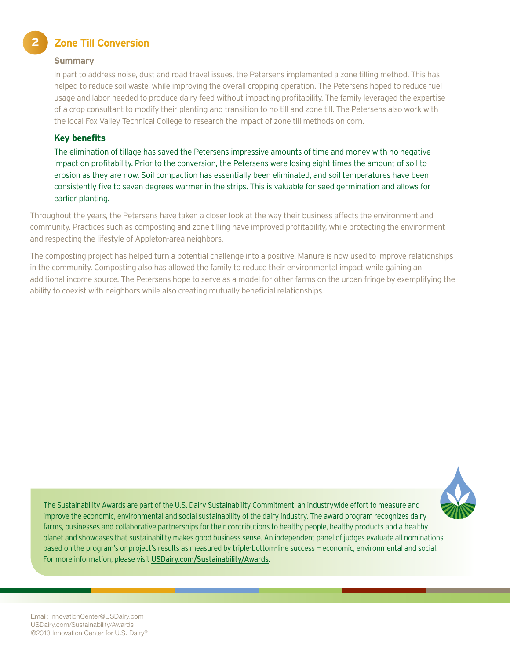**Zone Till Conversion** 

#### **Summary**

**2**

In part to address noise, dust and road travel issues, the Petersens implemented a zone tilling method. This has helped to reduce soil waste, while improving the overall cropping operation. The Petersens hoped to reduce fuel usage and labor needed to produce dairy feed without impacting profitability. The family leveraged the expertise of a crop consultant to modify their planting and transition to no till and zone till. The Petersens also work with the local Fox Valley Technical College to research the impact of zone till methods on corn.

#### **Key benefits**

The elimination of tillage has saved the Petersens impressive amounts of time and money with no negative impact on profitability. Prior to the conversion, the Petersens were losing eight times the amount of soil to erosion as they are now. Soil compaction has essentially been eliminated, and soil temperatures have been consistently five to seven degrees warmer in the strips. This is valuable for seed germination and allows for earlier planting.

Throughout the years, the Petersens have taken a closer look at the way their business affects the environment and community. Practices such as composting and zone tilling have improved profitability, while protecting the environment and respecting the lifestyle of Appleton-area neighbors.

The composting project has helped turn a potential challenge into a positive. Manure is now used to improve relationships in the community. Composting also has allowed the family to reduce their environmental impact while gaining an additional income source. The Petersens hope to serve as a model for other farms on the urban fringe by exemplifying the ability to coexist with neighbors while also creating mutually beneficial relationships.

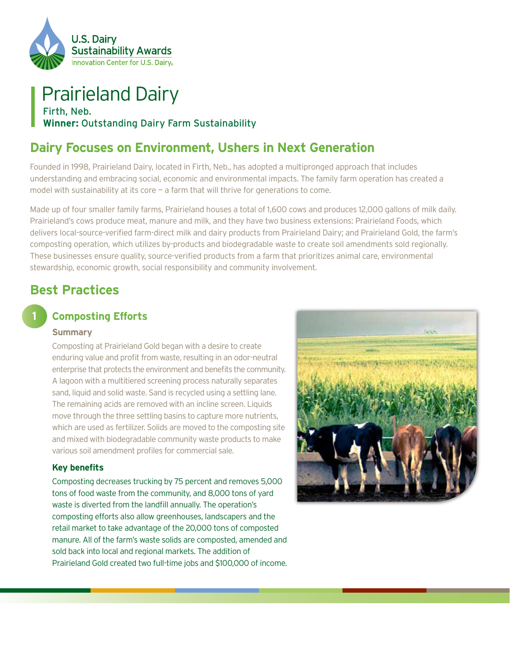

# Prairieland Dairy

Firth, Neb. **Winner:** Outstanding Dairy Farm Sustainability

# **Dairy Focuses on Environment, Ushers in Next Generation**

Founded in 1998, Prairieland Dairy, located in Firth, Neb., has adopted a multipronged approach that includes understanding and embracing social, economic and environmental impacts. The family farm operation has created a model with sustainability at its core  $-$  a farm that will thrive for generations to come.

Made up of four smaller family farms, Prairieland houses a total of 1,600 cows and produces 12,000 gallons of milk daily. Prairieland's cows produce meat, manure and milk, and they have two business extensions: Prairieland Foods, which delivers local-source-verified farm-direct milk and dairy products from Prairieland Dairy; and Prairieland Gold, the farm's composting operation, which utilizes by-products and biodegradable waste to create soil amendments sold regionally. These businesses ensure quality, source-verified products from a farm that prioritizes animal care, environmental stewardship, economic growth, social responsibility and community involvement.

# **Best Practices**

### **Composting Efforts**

#### **Summary**

**1**

Composting at Prairieland Gold began with a desire to create enduring value and profit from waste, resulting in an odor-neutral enterprise that protects the environment and benefits the community. A lagoon with a multitiered screening process naturally separates sand, liquid and solid waste. Sand is recycled using a settling lane. The remaining acids are removed with an incline screen. Liquids move through the three settling basins to capture more nutrients, which are used as fertilizer. Solids are moved to the composting site and mixed with biodegradable community waste products to make various soil amendment profiles for commercial sale.

#### **Key benefits**

Composting decreases trucking by 75 percent and removes 5,000 tons of food waste from the community, and 8,000 tons of yard waste is diverted from the landfill annually. The operation's composting efforts also allow greenhouses, landscapers and the retail market to take advantage of the 20,000 tons of composted manure. All of the farm's waste solids are composted, amended and sold back into local and regional markets. The addition of Prairieland Gold created two full-time jobs and \$100,000 of income.

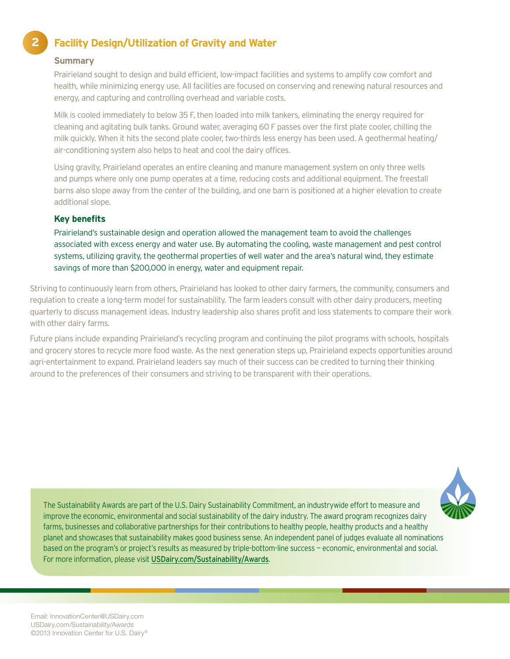# **Facility Design/Utilization of Gravity and Water**

#### **Summary**

**2**

Prairieland sought to design and build efficient, low-impact facilities and systems to amplify cow comfort and health, while minimizing energy use. All facilities are focused on conserving and renewing natural resources and energy, and capturing and controlling overhead and variable costs.

Milk is cooled immediately to below 35 F, then loaded into milk tankers, eliminating the energy required for cleaning and agitating bulk tanks. Ground water, averaging 60 F passes over the first plate cooler, chilling the milk quickly. When it hits the second plate cooler, two-thirds less energy has been used. A geothermal heating/ air-conditioning system also helps to heat and cool the dairy offices.

Using gravity, Prairieland operates an entire cleaning and manure management system on only three wells and pumps where only one pump operates at a time, reducing costs and additional equipment. The freestall barns also slope away from the center of the building, and one barn is positioned at a higher elevation to create additional slope.

#### **Key benefits**

Prairieland's sustainable design and operation allowed the management team to avoid the challenges associated with excess energy and water use. By automating the cooling, waste management and pest control systems, utilizing gravity, the geothermal properties of well water and the area's natural wind, they estimate savings of more than \$200,000 in energy, water and equipment repair.

Striving to continuously learn from others, Prairieland has looked to other dairy farmers, the community, consumers and regulation to create a long-term model for sustainability. The farm leaders consult with other dairy producers, meeting quarterly to discuss management ideas. Industry leadership also shares profit and loss statements to compare their work with other dairy farms.

Future plans include expanding Prairieland's recycling program and continuing the pilot programs with schools, hospitals and grocery stores to recycle more food waste. As the next generation steps up, Prairieland expects opportunities around agri-entertainment to expand. Prairieland leaders say much of their success can be credited to turning their thinking around to the preferences of their consumers and striving to be transparent with their operations.

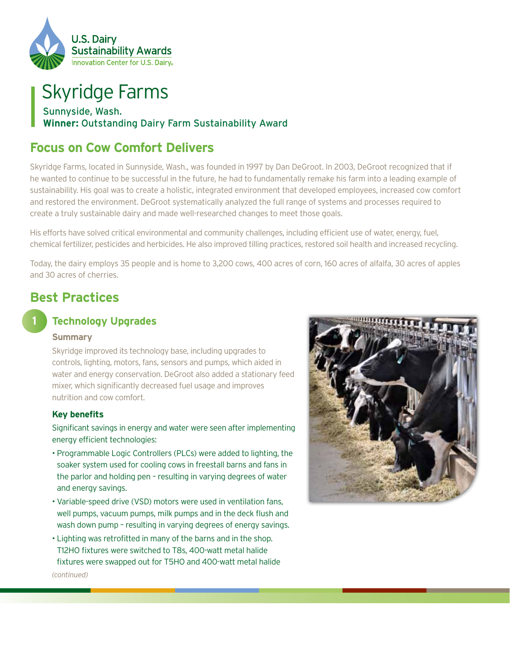

# Skyridge Farms

### Sunnyside, Wash. **Winner:** Outstanding Dairy Farm Sustainability Award

# **Focus on Cow Comfort Delivers**

Skyridge Farms, located in Sunnyside, Wash., was founded in 1997 by Dan DeGroot. In 2003, DeGroot recognized that if he wanted to continue to be successful in the future, he had to fundamentally remake his farm into a leading example of sustainability. His goal was to create a holistic, integrated environment that developed employees, increased cow comfort and restored the environment. DeGroot systematically analyzed the full range of systems and processes required to create a truly sustainable dairy and made well-researched changes to meet those goals.

His efforts have solved critical environmental and community challenges, including efficient use of water, energy, fuel, chemical fertilizer, pesticides and herbicides. He also improved tilling practices, restored soil health and increased recycling.

Today, the dairy employs 35 people and is home to 3,200 cows, 400 acres of corn, 160 acres of alfalfa, 30 acres of apples and 30 acres of cherries.

### **Best Practices**

### **1**

### **Technology Upgrades**

#### **Summary**

Skyridge improved its technology base, including upgrades to controls, lighting, motors, fans, sensors and pumps, which aided in water and energy conservation. DeGroot also added a stationary feed mixer, which significantly decreased fuel usage and improves nutrition and cow comfort.

#### **Key benefits**

Significant savings in energy and water were seen after implementing energy efficient technologies:

- Programmable Logic Controllers (PLCs) were added to lighting, the soaker system used for cooling cows in freestall barns and fans in the parlor and holding pen – resulting in varying degrees of water and energy savings.
- Variable-speed drive (VSD) motors were used in ventilation fans, well pumps, vacuum pumps, milk pumps and in the deck flush and wash down pump – resulting in varying degrees of energy savings.
- Lighting was retrofitted in many of the barns and in the shop. T12HO fixtures were switched to T8s, 400-watt metal halide fixtures were swapped out for T5HO and 400-watt metal halide



*(continued)*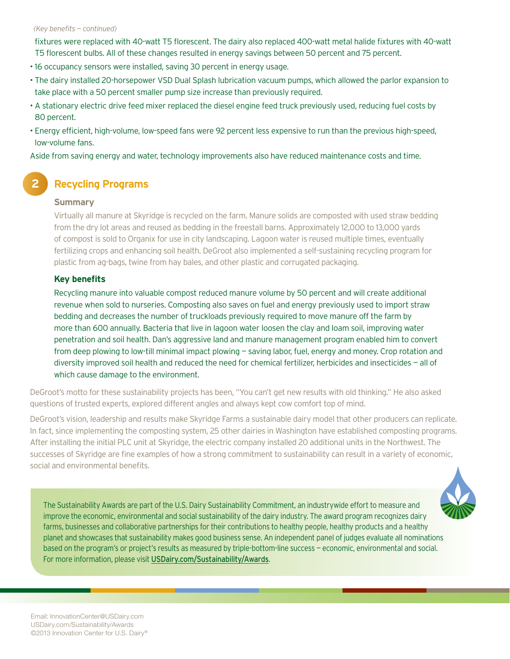#### *(Key benefits — continued)*

fixtures were replaced with 40-watt T5 florescent. The dairy also replaced 400-watt metal halide fixtures with 40-watt T5 florescent bulbs. All of these changes resulted in energy savings between 50 percent and 75 percent.

- 16 occupancy sensors were installed, saving 30 percent in energy usage.
- The dairy installed 20-horsepower VSD Dual Splash lubrication vacuum pumps, which allowed the parlor expansion to take place with a 50 percent smaller pump size increase than previously required.
- A stationary electric drive feed mixer replaced the diesel engine feed truck previously used, reducing fuel costs by 80 percent.
- Energy efficient, high-volume, low-speed fans were 92 percent less expensive to run than the previous high-speed, low-volume fans.

Aside from saving energy and water, technology improvements also have reduced maintenance costs and time.

### **Recycling Programs**

#### **Summary**

**2**

Virtually all manure at Skyridge is recycled on the farm. Manure solids are composted with used straw bedding from the dry lot areas and reused as bedding in the freestall barns. Approximately 12,000 to 13,000 yards of compost is sold to Organix for use in city landscaping. Lagoon water is reused multiple times, eventually fertilizing crops and enhancing soil health. DeGroot also implemented a self-sustaining recycling program for plastic from ag-bags, twine from hay bales, and other plastic and corrugated packaging.

#### **Key benefits**

Recycling manure into valuable compost reduced manure volume by 50 percent and will create additional revenue when sold to nurseries. Composting also saves on fuel and energy previously used to import straw bedding and decreases the number of truckloads previously required to move manure off the farm by more than 600 annually. Bacteria that live in lagoon water loosen the clay and loam soil, improving water penetration and soil health. Dan's aggressive land and manure management program enabled him to convert from deep plowing to low-till minimal impact plowing — saving labor, fuel, energy and money. Crop rotation and diversity improved soil health and reduced the need for chemical fertilizer, herbicides and insecticides — all of which cause damage to the environment.

DeGroot's motto for these sustainability projects has been, "You can't get new results with old thinking." He also asked questions of trusted experts, explored different angles and always kept cow comfort top of mind.

DeGroot's vision, leadership and results make Skyridge Farms a sustainable dairy model that other producers can replicate. In fact, since implementing the composting system, 25 other dairies in Washington have established composting programs. After installing the initial PLC unit at Skyridge, the electric company installed 20 additional units in the Northwest. The successes of Skyridge are fine examples of how a strong commitment to sustainability can result in a variety of economic, social and environmental benefits.

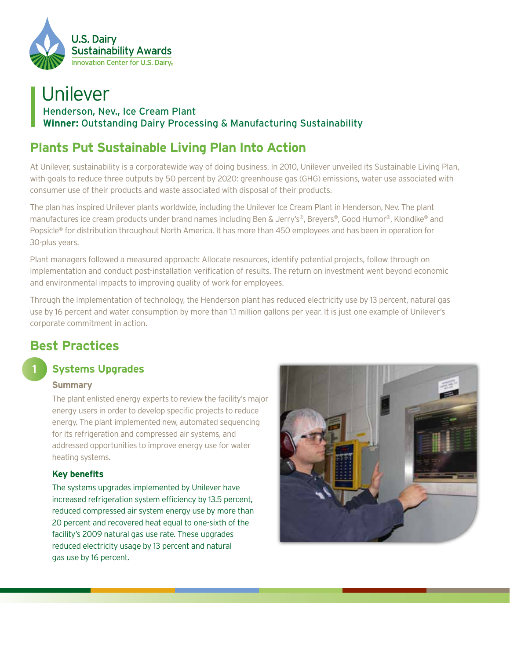

# Unilever Henderson, Nev., Ice Cream Plant **Winner:** Outstanding Dairy Processing & Manufacturing Sustainability

# **Plants Put Sustainable Living Plan Into Action**

At Unilever, sustainability is a corporatewide way of doing business. In 2010, Unilever unveiled its Sustainable Living Plan, with goals to reduce three outputs by 50 percent by 2020: greenhouse gas (GHG) emissions, water use associated with consumer use of their products and waste associated with disposal of their products.

The plan has inspired Unilever plants worldwide, including the Unilever Ice Cream Plant in Henderson, Nev. The plant manufactures ice cream products under brand names including Ben & Jerry's®, Breyers®, Good Humor®, Klondike® and Popsicle® for distribution throughout North America. It has more than 450 employees and has been in operation for 30-plus years.

Plant managers followed a measured approach: Allocate resources, identify potential projects, follow through on implementation and conduct post-installation verification of results. The return on investment went beyond economic and environmental impacts to improving quality of work for employees.

Through the implementation of technology, the Henderson plant has reduced electricity use by 13 percent, natural gas use by 16 percent and water consumption by more than 1.1 million gallons per year. It is just one example of Unilever's corporate commitment in action.

# **Best Practices**

### **Systems Upgrades**

#### **Summary**

**1**

The plant enlisted energy experts to review the facility's major energy users in order to develop specific projects to reduce energy. The plant implemented new, automated sequencing for its refrigeration and compressed air systems, and addressed opportunities to improve energy use for water heating systems.

#### **Key benefits**

The systems upgrades implemented by Unilever have increased refrigeration system efficiency by 13.5 percent, reduced compressed air system energy use by more than 20 percent and recovered heat equal to one-sixth of the facility's 2009 natural gas use rate. These upgrades reduced electricity usage by 13 percent and natural gas use by 16 percent.

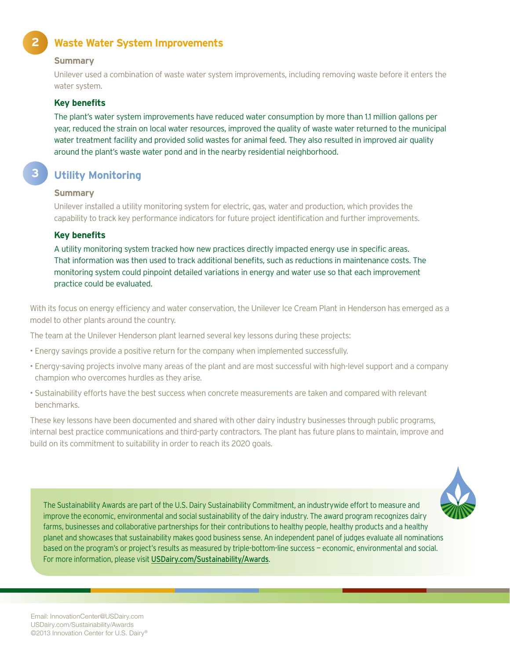### **Waste Water System Improvements**

#### **Summary**

**2**

**3**

Unilever used a combination of waste water system improvements, including removing waste before it enters the water system.

#### **Key benefits**

The plant's water system improvements have reduced water consumption by more than 1.1 million gallons per year, reduced the strain on local water resources, improved the quality of waste water returned to the municipal water treatment facility and provided solid wastes for animal feed. They also resulted in improved air quality around the plant's waste water pond and in the nearby residential neighborhood.

### **Utility Monitoring**

#### **Summary**

Unilever installed a utility monitoring system for electric, gas, water and production, which provides the capability to track key performance indicators for future project identification and further improvements.

#### **Key benefits**

A utility monitoring system tracked how new practices directly impacted energy use in specific areas. That information was then used to track additional benefits, such as reductions in maintenance costs. The monitoring system could pinpoint detailed variations in energy and water use so that each improvement practice could be evaluated.

With its focus on energy efficiency and water conservation, the Unilever Ice Cream Plant in Henderson has emerged as a model to other plants around the country.

The team at the Unilever Henderson plant learned several key lessons during these projects:

- Energy savings provide a positive return for the company when implemented successfully.
- Energy-saving projects involve many areas of the plant and are most successful with high-level support and a company champion who overcomes hurdles as they arise.
- Sustainability efforts have the best success when concrete measurements are taken and compared with relevant benchmarks.

These key lessons have been documented and shared with other dairy industry businesses through public programs, internal best practice communications and third-party contractors. The plant has future plans to maintain, improve and build on its commitment to suitability in order to reach its 2020 goals.

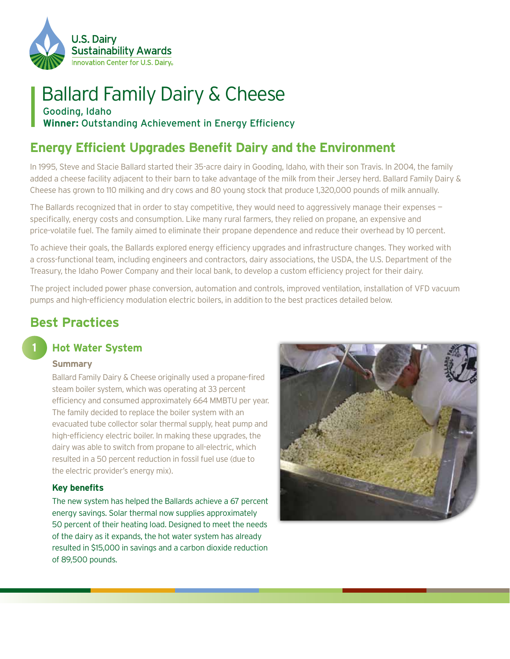

# Ballard Family Dairy & Cheese

Gooding, Idaho **Winner:** Outstanding Achievement in Energy Efficiency

# **Energy Efficient Upgrades Benefit Dairy and the Environment**

In 1995, Steve and Stacie Ballard started their 35-acre dairy in Gooding, Idaho, with their son Travis. In 2004, the family added a cheese facility adjacent to their barn to take advantage of the milk from their Jersey herd. Ballard Family Dairy & Cheese has grown to 110 milking and dry cows and 80 young stock that produce 1,320,000 pounds of milk annually.

The Ballards recognized that in order to stay competitive, they would need to aggressively manage their expenses specifically, energy costs and consumption. Like many rural farmers, they relied on propane, an expensive and price-volatile fuel. The family aimed to eliminate their propane dependence and reduce their overhead by 10 percent.

To achieve their goals, the Ballards explored energy efficiency upgrades and infrastructure changes. They worked with a cross-functional team, including engineers and contractors, dairy associations, the USDA, the U.S. Department of the Treasury, the Idaho Power Company and their local bank, to develop a custom efficiency project for their dairy.

The project included power phase conversion, automation and controls, improved ventilation, installation of VFD vacuum pumps and high-efficiency modulation electric boilers, in addition to the best practices detailed below.

# **Best Practices**

### **Hot Water System**

#### **Summary**

**1**

Ballard Family Dairy & Cheese originally used a propane-fired steam boiler system, which was operating at 33 percent efficiency and consumed approximately 664 MMBTU per year. The family decided to replace the boiler system with an evacuated tube collector solar thermal supply, heat pump and high-efficiency electric boiler. In making these upgrades, the dairy was able to switch from propane to all-electric, which resulted in a 50 percent reduction in fossil fuel use (due to the electric provider's energy mix).

#### **Key benefits**

The new system has helped the Ballards achieve a 67 percent energy savings. Solar thermal now supplies approximately 50 percent of their heating load. Designed to meet the needs of the dairy as it expands, the hot water system has already resulted in \$15,000 in savings and a carbon dioxide reduction of 89,500 pounds.

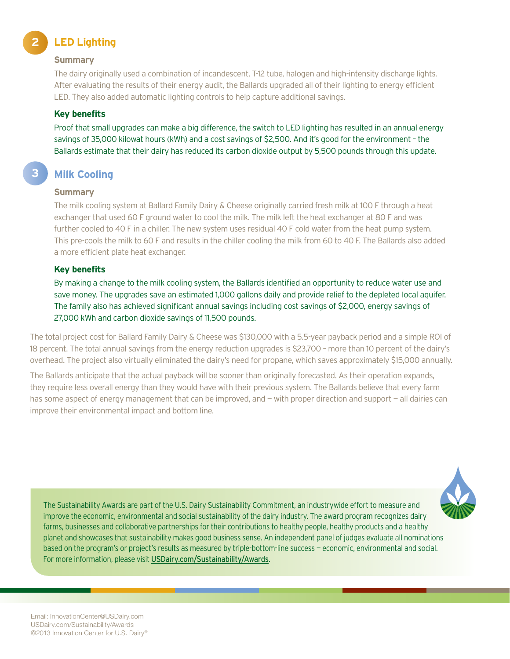#### **2 LED Lighting**

#### **Summary**

The dairy originally used a combination of incandescent, T-12 tube, halogen and high-intensity discharge lights. After evaluating the results of their energy audit, the Ballards upgraded all of their lighting to energy efficient LED. They also added automatic lighting controls to help capture additional savings.

#### **Key benefits**

Proof that small upgrades can make a big difference, the switch to LED lighting has resulted in an annual energy savings of 35,000 kilowat hours (kWh) and a cost savings of \$2,500. And it's good for the environment – the Ballards estimate that their dairy has reduced its carbon dioxide output by 5,500 pounds through this update.

### **Milk Cooling**

#### **Summary**

**3**

The milk cooling system at Ballard Family Dairy & Cheese originally carried fresh milk at 100 F through a heat exchanger that used 60 F ground water to cool the milk. The milk left the heat exchanger at 80 F and was further cooled to 40 F in a chiller. The new system uses residual 40 F cold water from the heat pump system. This pre-cools the milk to 60 F and results in the chiller cooling the milk from 60 to 40 F. The Ballards also added a more efficient plate heat exchanger.

#### **Key benefits**

By making a change to the milk cooling system, the Ballards identified an opportunity to reduce water use and save money. The upgrades save an estimated 1,000 gallons daily and provide relief to the depleted local aquifer. The family also has achieved significant annual savings including cost savings of \$2,000, energy savings of 27,000 kWh and carbon dioxide savings of 11,500 pounds.

The total project cost for Ballard Family Dairy & Cheese was \$130,000 with a 5.5-year payback period and a simple ROI of 18 percent. The total annual savings from the energy reduction upgrades is \$23,700 – more than 10 percent of the dairy's overhead. The project also virtually eliminated the dairy's need for propane, which saves approximately \$15,000 annually.

The Ballards anticipate that the actual payback will be sooner than originally forecasted. As their operation expands, they require less overall energy than they would have with their previous system. The Ballards believe that every farm has some aspect of energy management that can be improved, and – with proper direction and support – all dairies can improve their environmental impact and bottom line.

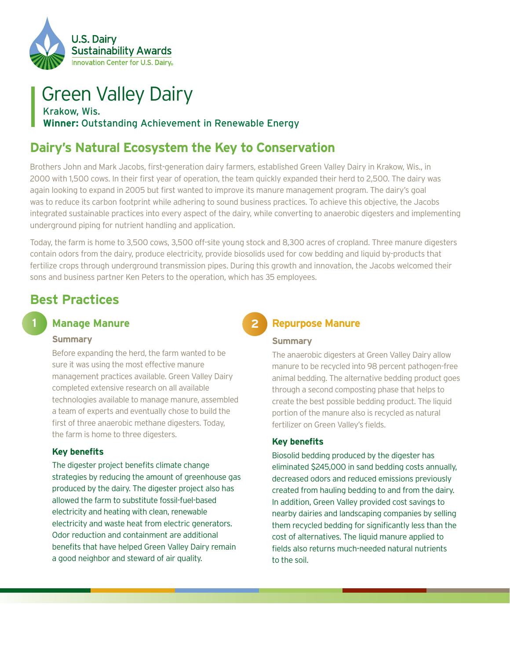

## Green Valley Dairy Krakow, Wis. **Winner:** Outstanding Achievement in Renewable Energy

# **Dairy's Natural Ecosystem the Key to Conservation**

Brothers John and Mark Jacobs, first-generation dairy farmers, established Green Valley Dairy in Krakow, Wis., in 2000 with 1,500 cows. In their first year of operation, the team quickly expanded their herd to 2,500. The dairy was again looking to expand in 2005 but first wanted to improve its manure management program. The dairy's goal was to reduce its carbon footprint while adhering to sound business practices. To achieve this objective, the Jacobs integrated sustainable practices into every aspect of the dairy, while converting to anaerobic digesters and implementing underground piping for nutrient handling and application.

Today, the farm is home to 3,500 cows, 3,500 off-site young stock and 8,300 acres of cropland. Three manure digesters contain odors from the dairy, produce electricity, provide biosolids used for cow bedding and liquid by-products that fertilize crops through underground transmission pipes. During this growth and innovation, the Jacobs welcomed their sons and business partner Ken Peters to the operation, which has 35 employees.

**2**

# **Best Practices**

### **1**

### **Manage Manure**

#### **Summary**

Before expanding the herd, the farm wanted to be sure it was using the most effective manure management practices available. Green Valley Dairy completed extensive research on all available technologies available to manage manure, assembled a team of experts and eventually chose to build the first of three anaerobic methane digesters. Today, the farm is home to three digesters.

### **Key benefits**

The digester project benefits climate change strategies by reducing the amount of greenhouse gas produced by the dairy. The digester project also has allowed the farm to substitute fossil-fuel-based electricity and heating with clean, renewable electricity and waste heat from electric generators. Odor reduction and containment are additional benefits that have helped Green Valley Dairy remain a good neighbor and steward of air quality.

### **Repurpose Manure**

#### **Summary**

The anaerobic digesters at Green Valley Dairy allow manure to be recycled into 98 percent pathogen-free animal bedding. The alternative bedding product goes through a second composting phase that helps to create the best possible bedding product. The liquid portion of the manure also is recycled as natural fertilizer on Green Valley's fields.

### **Key benefits**

Biosolid bedding produced by the digester has eliminated \$245,000 in sand bedding costs annually, decreased odors and reduced emissions previously created from hauling bedding to and from the dairy. In addition, Green Valley provided cost savings to nearby dairies and landscaping companies by selling them recycled bedding for significantly less than the cost of alternatives. The liquid manure applied to fields also returns much-needed natural nutrients to the soil.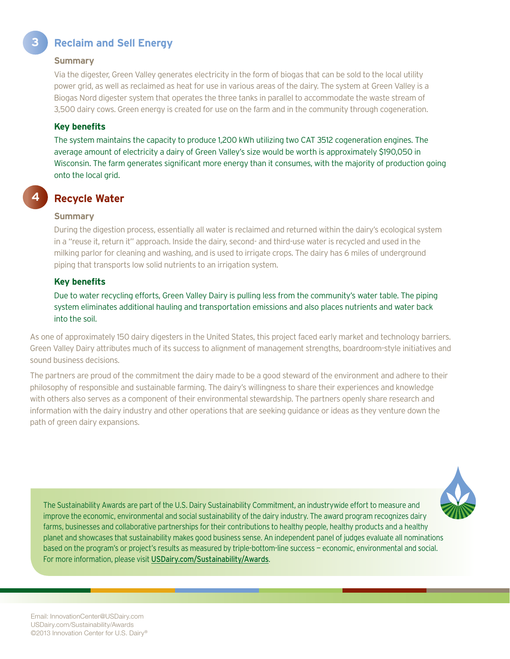## **3 Reclaim and Sell Energy**

#### **Summary**

Via the digester, Green Valley generates electricity in the form of biogas that can be sold to the local utility power grid, as well as reclaimed as heat for use in various areas of the dairy. The system at Green Valley is a Biogas Nord digester system that operates the three tanks in parallel to accommodate the waste stream of 3,500 dairy cows. Green energy is created for use on the farm and in the community through cogeneration.

#### **Key benefits**

The system maintains the capacity to produce 1,200 kWh utilizing two CAT 3512 cogeneration engines. The average amount of electricity a dairy of Green Valley's size would be worth is approximately \$190,050 in Wisconsin. The farm generates significant more energy than it consumes, with the majority of production going onto the local grid.

### **Recycle Water**

#### **Summary**

**4**

During the digestion process, essentially all water is reclaimed and returned within the dairy's ecological system in a "reuse it, return it" approach. Inside the dairy, second- and third-use water is recycled and used in the milking parlor for cleaning and washing, and is used to irrigate crops. The dairy has 6 miles of underground piping that transports low solid nutrients to an irrigation system.

#### **Key benefits**

Due to water recycling efforts, Green Valley Dairy is pulling less from the community's water table. The piping system eliminates additional hauling and transportation emissions and also places nutrients and water back into the soil.

As one of approximately 150 dairy digesters in the United States, this project faced early market and technology barriers. Green Valley Dairy attributes much of its success to alignment of management strengths, boardroom-style initiatives and sound business decisions.

The partners are proud of the commitment the dairy made to be a good steward of the environment and adhere to their philosophy of responsible and sustainable farming. The dairy's willingness to share their experiences and knowledge with others also serves as a component of their environmental stewardship. The partners openly share research and information with the dairy industry and other operations that are seeking guidance or ideas as they venture down the path of green dairy expansions.